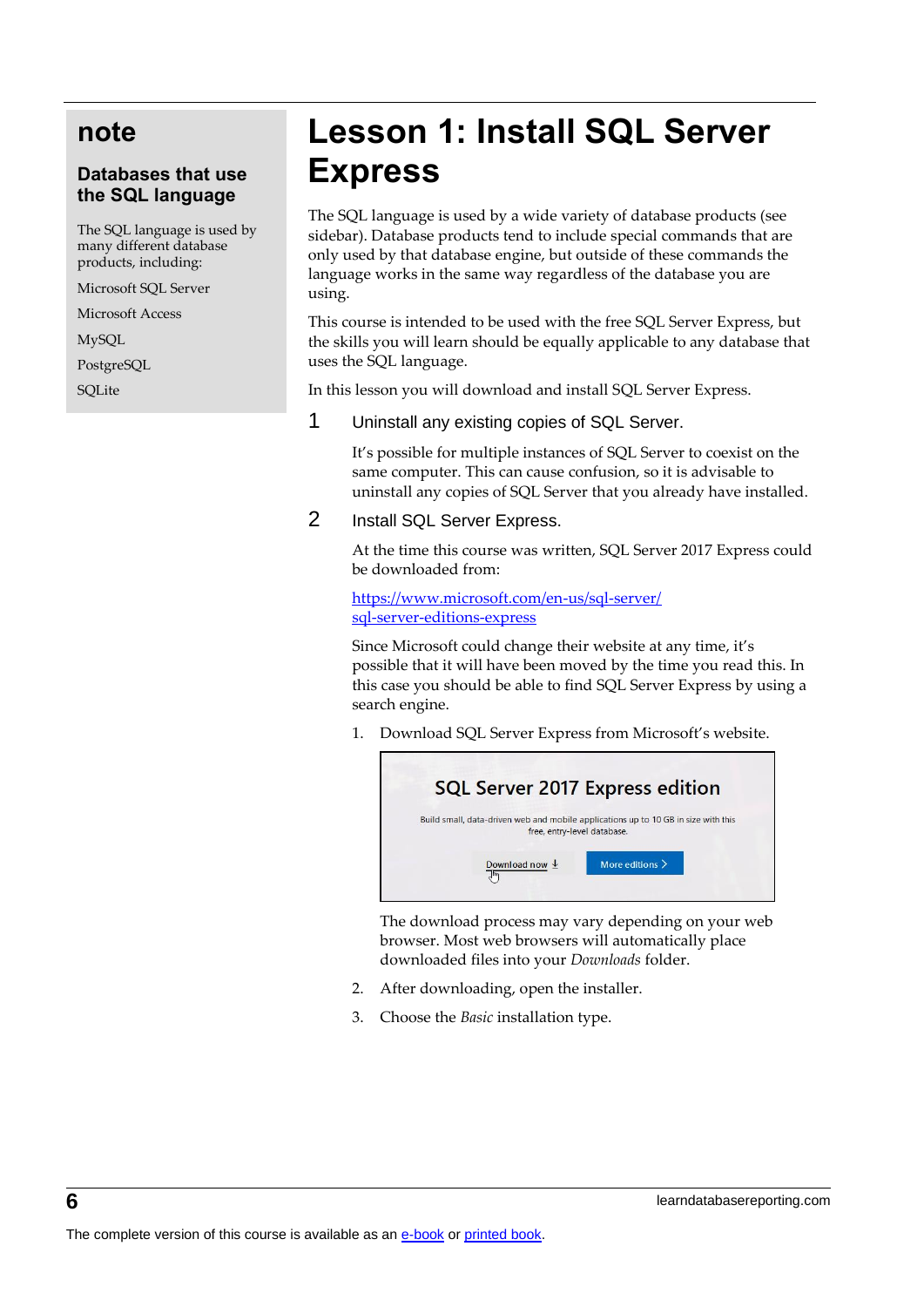# **note**

### **Databases that use the SQL language**

The SQL language is used by many different database products, including:

Microsoft SQL Server

Microsoft Access

MySQL

PostgreSQL

**SQLite** 

# **Lesson 1: Install SQL Server Express**

The SQL language is used by a wide variety of database products (see sidebar). Database products tend to include special commands that are only used by that database engine, but outside of these commands the language works in the same way regardless of the database you are using.

This course is intended to be used with the free SQL Server Express, but the skills you will learn should be equally applicable to any database that uses the SQL language.

In this lesson you will download and install SQL Server Express.

### 1 Uninstall any existing copies of SQL Server.

It's possible for multiple instances of SQL Server to coexist on the same computer. This can cause confusion, so it is advisable to uninstall any copies of SQL Server that you already have installed.

2 Install SQL Server Express.

At the time this course was written, SQL Server 2017 Express could be downloaded from:

[https://www.microsoft.com/en-us/sql-server/](https://www.microsoft.com/en-us/sql-server/sql-server-editions-express) [sql-server-editions-express](https://www.microsoft.com/en-us/sql-server/sql-server-editions-express)

Since Microsoft could change their website at any time, it's possible that it will have been moved by the time you read this. In this case you should be able to find SQL Server Express by using a search engine.

1. Download SQL Server Express from Microsoft's website.



The download process may vary depending on your web browser. Most web browsers will automatically place downloaded files into your *Downloads* folder.

- 2. After downloading, open the installer.
- 3. Choose the *Basic* installation type.